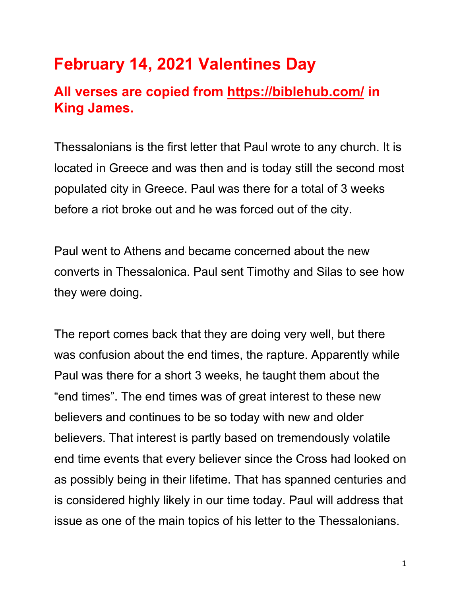# **February 14, 2021 Valentines Day**

## **All verses are copied from https://biblehub.com/ in King James.**

Thessalonians is the first letter that Paul wrote to any church. It is located in Greece and was then and is today still the second most populated city in Greece. Paul was there for a total of 3 weeks before a riot broke out and he was forced out of the city.

Paul went to Athens and became concerned about the new converts in Thessalonica. Paul sent Timothy and Silas to see how they were doing.

The report comes back that they are doing very well, but there was confusion about the end times, the rapture. Apparently while Paul was there for a short 3 weeks, he taught them about the "end times". The end times was of great interest to these new believers and continues to be so today with new and older believers. That interest is partly based on tremendously volatile end time events that every believer since the Cross had looked on as possibly being in their lifetime. That has spanned centuries and is considered highly likely in our time today. Paul will address that issue as one of the main topics of his letter to the Thessalonians.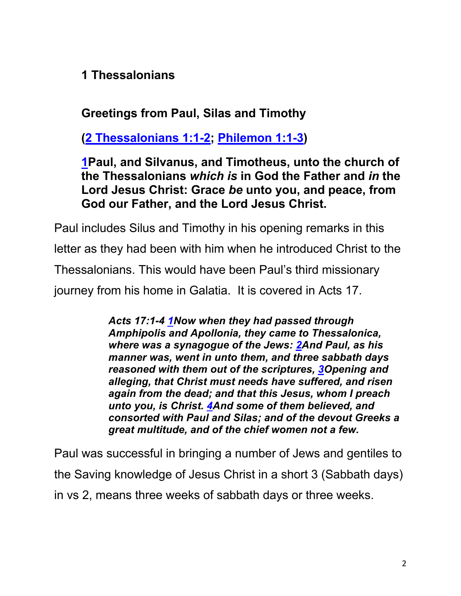**1 Thessalonians**

### **Greetings from Paul, Silas and Timothy**

**(2 Thessalonians 1:1-2; Philemon 1:1-3)**

#### **1Paul, and Silvanus, and Timotheus, unto the church of the Thessalonians** *which is* **in God the Father and** *in* **the Lord Jesus Christ: Grace** *be* **unto you, and peace, from God our Father, and the Lord Jesus Christ.**

Paul includes Silus and Timothy in his opening remarks in this letter as they had been with him when he introduced Christ to the Thessalonians. This would have been Paul's third missionary journey from his home in Galatia. It is covered in Acts 17.

> *Acts 17:1-4 1Now when they had passed through Amphipolis and Apollonia, they came to Thessalonica, where was a synagogue of the Jews: 2And Paul, as his manner was, went in unto them, and three sabbath days reasoned with them out of the scriptures, 3Opening and alleging, that Christ must needs have suffered, and risen again from the dead; and that this Jesus, whom I preach unto you, is Christ. 4And some of them believed, and consorted with Paul and Silas; and of the devout Greeks a great multitude, and of the chief women not a few.*

Paul was successful in bringing a number of Jews and gentiles to the Saving knowledge of Jesus Christ in a short 3 (Sabbath days) in vs 2, means three weeks of sabbath days or three weeks.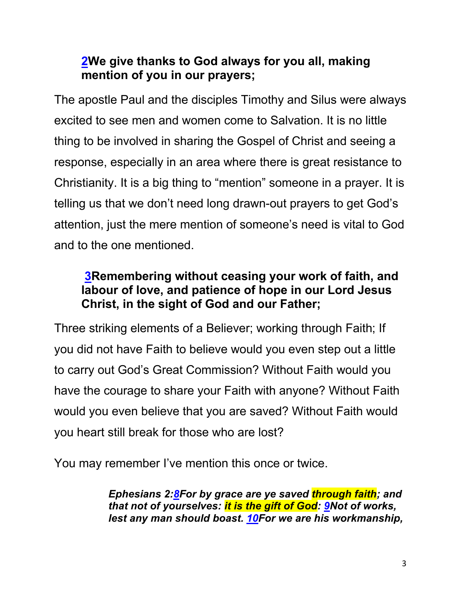#### **2We give thanks to God always for you all, making mention of you in our prayers;**

The apostle Paul and the disciples Timothy and Silus were always excited to see men and women come to Salvation. It is no little thing to be involved in sharing the Gospel of Christ and seeing a response, especially in an area where there is great resistance to Christianity. It is a big thing to "mention" someone in a prayer. It is telling us that we don't need long drawn-out prayers to get God's attention, just the mere mention of someone's need is vital to God and to the one mentioned.

#### **3Remembering without ceasing your work of faith, and labour of love, and patience of hope in our Lord Jesus Christ, in the sight of God and our Father;**

Three striking elements of a Believer; working through Faith; If you did not have Faith to believe would you even step out a little to carry out God's Great Commission? Without Faith would you have the courage to share your Faith with anyone? Without Faith would you even believe that you are saved? Without Faith would you heart still break for those who are lost?

You may remember I've mention this once or twice.

*Ephesians 2:8For by grace are ye saved through faith; and that not of yourselves: it is the gift of God: 9Not of works, lest any man should boast. 10For we are his workmanship,*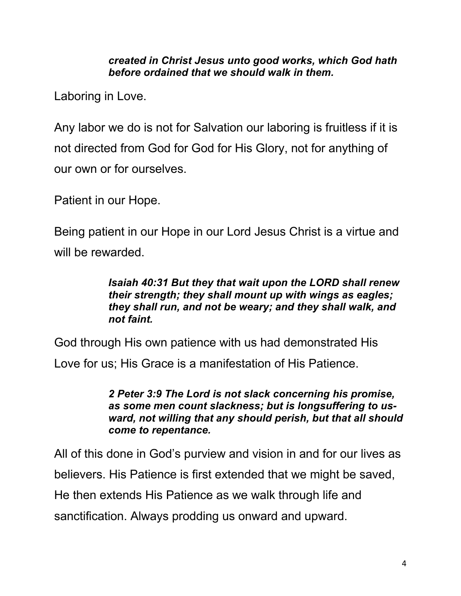*created in Christ Jesus unto good works, which God hath before ordained that we should walk in them.*

Laboring in Love.

Any labor we do is not for Salvation our laboring is fruitless if it is not directed from God for God for His Glory, not for anything of our own or for ourselves.

Patient in our Hope.

Being patient in our Hope in our Lord Jesus Christ is a virtue and will be rewarded.

#### *Isaiah 40:31 But they that wait upon the LORD shall renew their strength; they shall mount up with wings as eagles; they shall run, and not be weary; and they shall walk, and not faint.*

God through His own patience with us had demonstrated His

Love for us; His Grace is a manifestation of His Patience.

*2 Peter 3:9 The Lord is not slack concerning his promise, as some men count slackness; but is longsuffering to usward, not willing that any should perish, but that all should come to repentance.*

All of this done in God's purview and vision in and for our lives as believers. His Patience is first extended that we might be saved, He then extends His Patience as we walk through life and sanctification. Always prodding us onward and upward.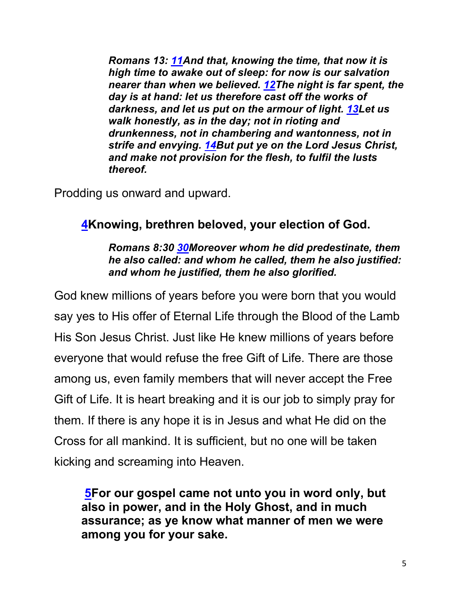*Romans 13: 11And that, knowing the time, that now it is high time to awake out of sleep: for now is our salvation nearer than when we believed. 12The night is far spent, the day is at hand: let us therefore cast off the works of darkness, and let us put on the armour of light. 13Let us walk honestly, as in the day; not in rioting and drunkenness, not in chambering and wantonness, not in strife and envying. 14But put ye on the Lord Jesus Christ, and make not provision for the flesh, to fulfil the lusts thereof.*

Prodding us onward and upward.

#### **4Knowing, brethren beloved, your election of God.**

*Romans 8:30 30Moreover whom he did predestinate, them he also called: and whom he called, them he also justified: and whom he justified, them he also glorified.*

God knew millions of years before you were born that you would say yes to His offer of Eternal Life through the Blood of the Lamb His Son Jesus Christ. Just like He knew millions of years before everyone that would refuse the free Gift of Life. There are those among us, even family members that will never accept the Free Gift of Life. It is heart breaking and it is our job to simply pray for them. If there is any hope it is in Jesus and what He did on the Cross for all mankind. It is sufficient, but no one will be taken kicking and screaming into Heaven.

**5For our gospel came not unto you in word only, but also in power, and in the Holy Ghost, and in much assurance; as ye know what manner of men we were among you for your sake.**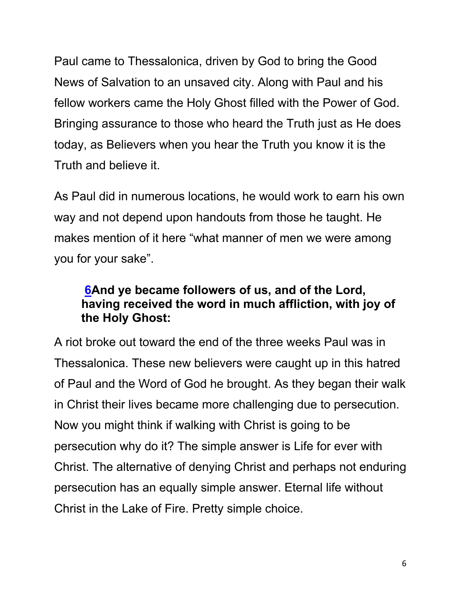Paul came to Thessalonica, driven by God to bring the Good News of Salvation to an unsaved city. Along with Paul and his fellow workers came the Holy Ghost filled with the Power of God. Bringing assurance to those who heard the Truth just as He does today, as Believers when you hear the Truth you know it is the Truth and believe it.

As Paul did in numerous locations, he would work to earn his own way and not depend upon handouts from those he taught. He makes mention of it here "what manner of men we were among you for your sake".

#### **6And ye became followers of us, and of the Lord, having received the word in much affliction, with joy of the Holy Ghost:**

A riot broke out toward the end of the three weeks Paul was in Thessalonica. These new believers were caught up in this hatred of Paul and the Word of God he brought. As they began their walk in Christ their lives became more challenging due to persecution. Now you might think if walking with Christ is going to be persecution why do it? The simple answer is Life for ever with Christ. The alternative of denying Christ and perhaps not enduring persecution has an equally simple answer. Eternal life without Christ in the Lake of Fire. Pretty simple choice.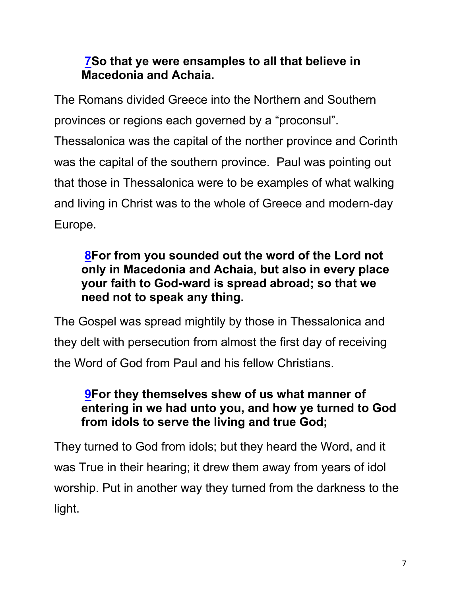#### **7So that ye were ensamples to all that believe in Macedonia and Achaia.**

The Romans divided Greece into the Northern and Southern provinces or regions each governed by a "proconsul".

Thessalonica was the capital of the norther province and Corinth was the capital of the southern province. Paul was pointing out that those in Thessalonica were to be examples of what walking and living in Christ was to the whole of Greece and modern-day Europe.

#### **8For from you sounded out the word of the Lord not only in Macedonia and Achaia, but also in every place your faith to God-ward is spread abroad; so that we need not to speak any thing.**

The Gospel was spread mightily by those in Thessalonica and they delt with persecution from almost the first day of receiving the Word of God from Paul and his fellow Christians.

#### **9For they themselves shew of us what manner of entering in we had unto you, and how ye turned to God from idols to serve the living and true God;**

They turned to God from idols; but they heard the Word, and it was True in their hearing; it drew them away from years of idol worship. Put in another way they turned from the darkness to the light.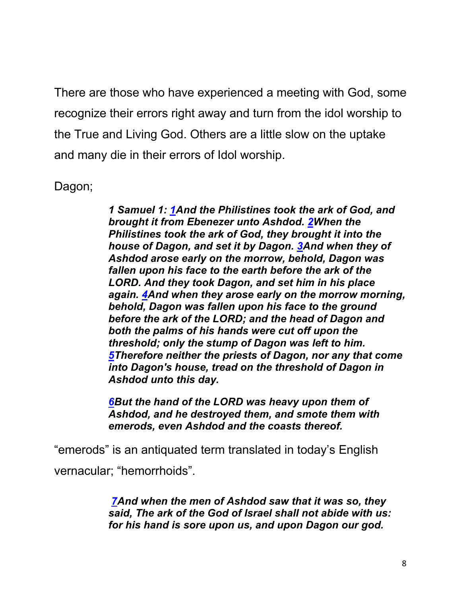There are those who have experienced a meeting with God, some recognize their errors right away and turn from the idol worship to the True and Living God. Others are a little slow on the uptake and many die in their errors of Idol worship.

Dagon;

*1 Samuel 1: 1And the Philistines took the ark of God, and brought it from Ebenezer unto Ashdod. 2When the Philistines took the ark of God, they brought it into the house of Dagon, and set it by Dagon. 3And when they of Ashdod arose early on the morrow, behold, Dagon was fallen upon his face to the earth before the ark of the LORD. And they took Dagon, and set him in his place again. 4And when they arose early on the morrow morning, behold, Dagon was fallen upon his face to the ground before the ark of the LORD; and the head of Dagon and both the palms of his hands were cut off upon the threshold; only the stump of Dagon was left to him. 5Therefore neither the priests of Dagon, nor any that come into Dagon's house, tread on the threshold of Dagon in Ashdod unto this day.*

*6But the hand of the LORD was heavy upon them of Ashdod, and he destroyed them, and smote them with emerods, even Ashdod and the coasts thereof.*

"emerods" is an antiquated term translated in today's English vernacular; "hemorrhoids".

> *7And when the men of Ashdod saw that it was so, they said, The ark of the God of Israel shall not abide with us: for his hand is sore upon us, and upon Dagon our god.*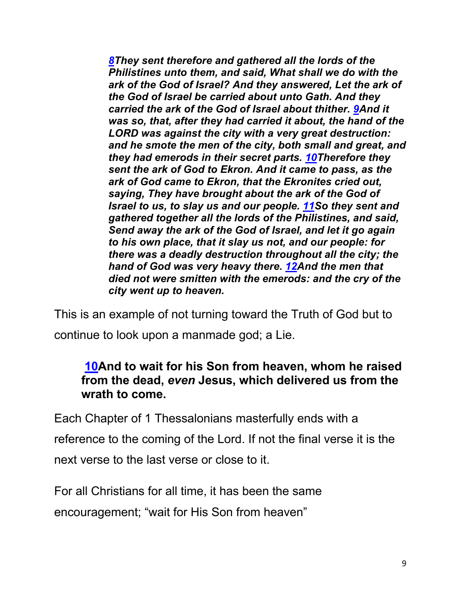*8They sent therefore and gathered all the lords of the Philistines unto them, and said, What shall we do with the ark of the God of Israel? And they answered, Let the ark of the God of Israel be carried about unto Gath. And they carried the ark of the God of Israel about thither. 9And it was so, that, after they had carried it about, the hand of the LORD was against the city with a very great destruction: and he smote the men of the city, both small and great, and they had emerods in their secret parts. 10Therefore they sent the ark of God to Ekron. And it came to pass, as the ark of God came to Ekron, that the Ekronites cried out, saying, They have brought about the ark of the God of Israel to us, to slay us and our people. 11So they sent and gathered together all the lords of the Philistines, and said, Send away the ark of the God of Israel, and let it go again to his own place, that it slay us not, and our people: for there was a deadly destruction throughout all the city; the hand of God was very heavy there. 12And the men that died not were smitten with the emerods: and the cry of the city went up to heaven.*

This is an example of not turning toward the Truth of God but to continue to look upon a manmade god; a Lie.

#### **10And to wait for his Son from heaven, whom he raised from the dead,** *even* **Jesus, which delivered us from the wrath to come.**

Each Chapter of 1 Thessalonians masterfully ends with a reference to the coming of the Lord. If not the final verse it is the next verse to the last verse or close to it.

For all Christians for all time, it has been the same encouragement; "wait for His Son from heaven"